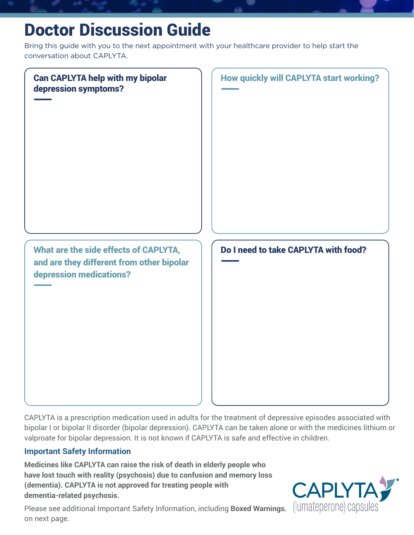# Doctor Discussion Guide

Bring this guide with you to the next appointment with your healthcare provider to help start the conversation about CAPLYTA.



CAPLYTA is a prescription medication used in adults for the treatment of depressive episodes associated with bipolar I or bipolar II disorder (bipolar depression). CAPLYTA can be taken alone or with the medicines lithium or valproate for bipolar depression. It is not known if CAPLYTA is safe and effective in children.

## **Important Safety Information**

**Medicines like CAPLYTA can raise the risk of death in elderly people who have lost touch with reality (psychosis) due to confusion and memory loss (dementia). CAPLYTA is not approved for treating people with dementia-related psychosis.**

Please see additional Important Safety Information, including **Boxed Warnings**, on next page.

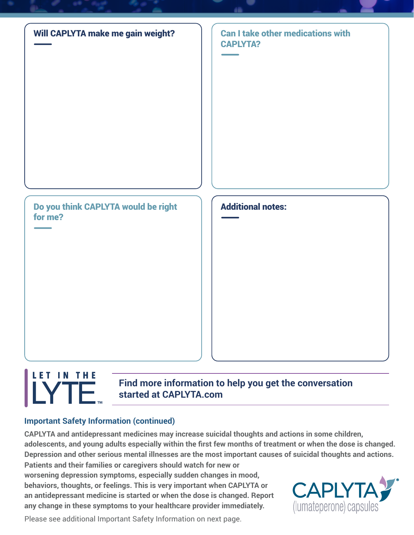

#### LET IN THE **Find more information to help you get the conversation TE started at CAPLYTA.com**

# **Important Safety Information (continued)**

**CAPLYTA and antidepressant medicines may increase suicidal thoughts and actions in some children, adolescents, and young adults especially within the first few months of treatment or when the dose is changed. Depression and other serious mental illnesses are the most important causes of suicidal thoughts and actions. Patients and their families or caregivers should watch for new or** 

**worsening depression symptoms, especially sudden changes in mood, behaviors, thoughts, or feelings. This is very important when CAPLYTA or an antidepressant medicine is started or when the dose is changed. Report any change in these symptoms to your healthcare provider immediately.**



Please see additional Important Safety Information on next page.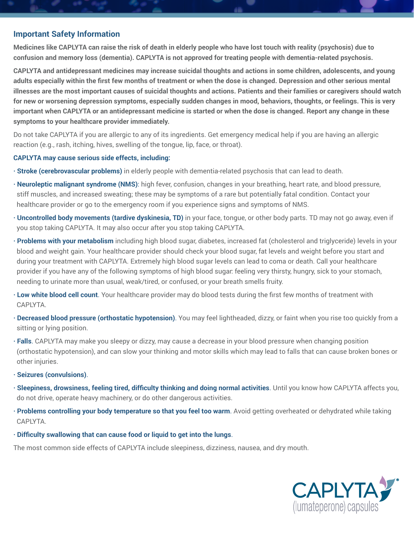### **Important Safety Information**

**Medicines like CAPLYTA can raise the risk of death in elderly people who have lost touch with reality (psychosis) due to confusion and memory loss (dementia). CAPLYTA is not approved for treating people with dementia-related psychosis.**

**CAPLYTA and antidepressant medicines may increase suicidal thoughts and actions in some children, adolescents, and young adults especially within the first few months of treatment or when the dose is changed. Depression and other serious mental illnesses are the most important causes of suicidal thoughts and actions. Patients and their families or caregivers should watch for new or worsening depression symptoms, especially sudden changes in mood, behaviors, thoughts, or feelings. This is very important when CAPLYTA or an antidepressant medicine is started or when the dose is changed. Report any change in these symptoms to your healthcare provider immediately.**

Do not take CAPLYTA if you are allergic to any of its ingredients. Get emergency medical help if you are having an allergic reaction (e.g., rash, itching, hives, swelling of the tongue, lip, face, or throat).

#### **CAPLYTA may cause serious side effects, including:**

- **· Stroke (cerebrovascular problems)** in elderly people with dementia-related psychosis that can lead to death.
- **· Neuroleptic malignant syndrome (NMS)**: high fever, confusion, changes in your breathing, heart rate, and blood pressure, stiff muscles, and increased sweating; these may be symptoms of a rare but potentially fatal condition. Contact your healthcare provider or go to the emergency room if you experience signs and symptoms of NMS.
- **· Uncontrolled body movements (tardive dyskinesia, TD)** in your face, tongue, or other body parts. TD may not go away, even if you stop taking CAPLYTA. It may also occur after you stop taking CAPLYTA.
- **· Problems with your metabolism** including high blood sugar, diabetes, increased fat (cholesterol and triglyceride) levels in your blood and weight gain. Your healthcare provider should check your blood sugar, fat levels and weight before you start and during your treatment with CAPLYTA. Extremely high blood sugar levels can lead to coma or death. Call your healthcare provider if you have any of the following symptoms of high blood sugar: feeling very thirsty, hungry, sick to your stomach, needing to urinate more than usual, weak/tired, or confused, or your breath smells fruity.
- **· Low white blood cell count**. Your healthcare provider may do blood tests during the first few months of treatment with CAPLYTA.
- **· Decreased blood pressure (orthostatic hypotension)**. You may feel lightheaded, dizzy, or faint when you rise too quickly from a sitting or lying position.
- **· Falls**. CAPLYTA may make you sleepy or dizzy, may cause a decrease in your blood pressure when changing position (orthostatic hypotension), and can slow your thinking and motor skills which may lead to falls that can cause broken bones or other injuries.
- **· Seizures (convulsions)**.
- **· Sleepiness, drowsiness, feeling tired, difficulty thinking and doing normal activities**. Until you know how CAPLYTA affects you, do not drive, operate heavy machinery, or do other dangerous activities.
- **· Problems controlling your body temperature so that you feel too warm**. Avoid getting overheated or dehydrated while taking CAPLYTA.
- **· Difficulty swallowing that can cause food or liquid to get into the lungs**.

The most common side effects of CAPLYTA include sleepiness, dizziness, nausea, and dry mouth.